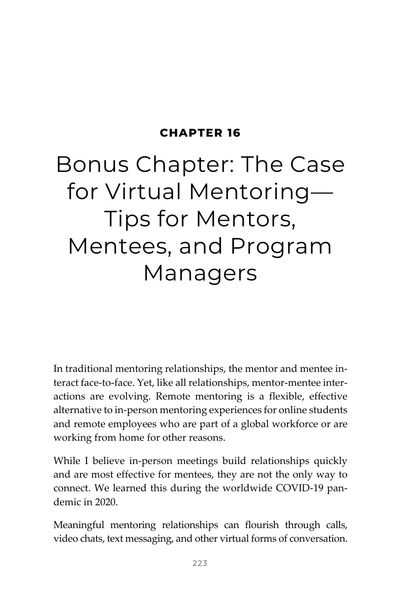## **CHAPTER 16**

## Bonus Chapter: The Case for Virtual Mentoring— Tips for Mentors, Mentees, and Program Managers

In traditional mentoring relationships, the mentor and mentee interact face-to-face. Yet, like all relationships, mentor-mentee interactions are evolving. Remote mentoring is a flexible, effective alternative to in-person mentoring experiences for online students and remote employees who are part of a global workforce or are working from home for other reasons.

While I believe in-person meetings build relationships quickly and are most effective for mentees, they are not the only way to connect. We learned this during the worldwide COVID-19 pandemic in 2020.

Meaningful mentoring relationships can flourish through calls, video chats, text messaging, and other virtual forms of conversation.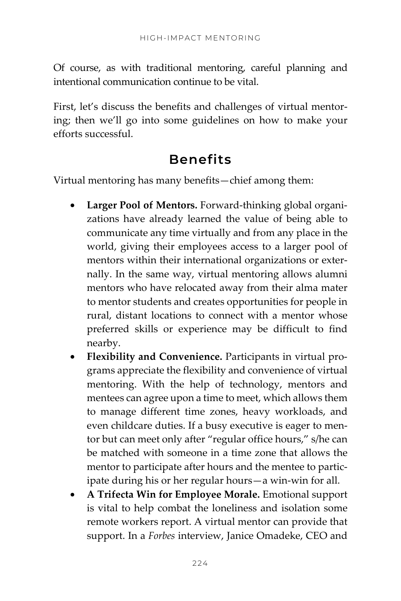Of course, as with traditional mentoring, careful planning and intentional communication continue to be vital.

First, let's discuss the benefits and challenges of virtual mentoring; then we'll go into some guidelines on how to make your efforts successful.

## **Benefits**

Virtual mentoring has many benefits—chief among them:

- **Larger Pool of Mentors.** Forward-thinking global organizations have already learned the value of being able to communicate any time virtually and from any place in the world, giving their employees access to a larger pool of mentors within their international organizations or externally. In the same way, virtual mentoring allows alumni mentors who have relocated away from their alma mater to mentor students and creates opportunities for people in rural, distant locations to connect with a mentor whose preferred skills or experience may be difficult to find nearby.
- **Flexibility and Convenience.** Participants in virtual programs appreciate the flexibility and convenience of virtual mentoring. With the help of technology, mentors and mentees can agree upon a time to meet, which allows them to manage different time zones, heavy workloads, and even childcare duties. If a busy executive is eager to mentor but can meet only after "regular office hours," s/he can be matched with someone in a time zone that allows the mentor to participate after hours and the mentee to participate during his or her regular hours—a win-win for all.
- **A Trifecta Win for Employee Morale.** Emotional support is vital to help combat the loneliness and isolation some remote workers report. A virtual mentor can provide that support. In a *Forbes* interview, Janice Omadeke, CEO and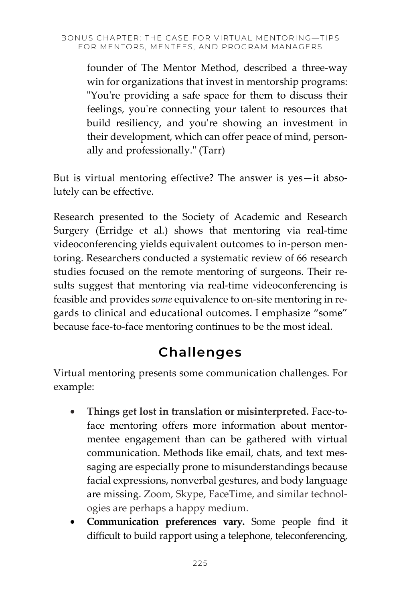founder of The Mentor Method, described a three-way win for organizations that invest in mentorship programs: "You're providing a safe space for them to discuss their feelings, you're connecting your talent to resources that build resiliency, and you're showing an investment in their development, which can offer peace of mind, personally and professionally." (Tarr)

But is virtual mentoring effective? The answer is yes—it absolutely can be effective.

Research presented to the Society of Academic and Research Surgery (Erridge et al.) shows that mentoring via real-time videoconferencing yields equivalent outcomes to in-person mentoring. Researchers conducted a systematic review of 66 research studies focused on the remote mentoring of surgeons. Their results suggest that mentoring via real-time videoconferencing is feasible and provides *some* equivalence to on-site mentoring in regards to clinical and educational outcomes. I emphasize "some" because face-to-face mentoring continues to be the most ideal.

## **Challenges**

Virtual mentoring presents some communication challenges. For example:

- **Things get lost in translation or misinterpreted.** Face-toface mentoring offers more information about mentormentee engagement than can be gathered with virtual communication. Methods like email, chats, and text messaging are especially prone to misunderstandings because facial expressions, nonverbal gestures, and body language are missing. Zoom, Skype, FaceTime, and similar technologies are perhaps a happy medium.
- **Communication preferences vary.** Some people find it difficult to build rapport using a telephone, teleconferencing,